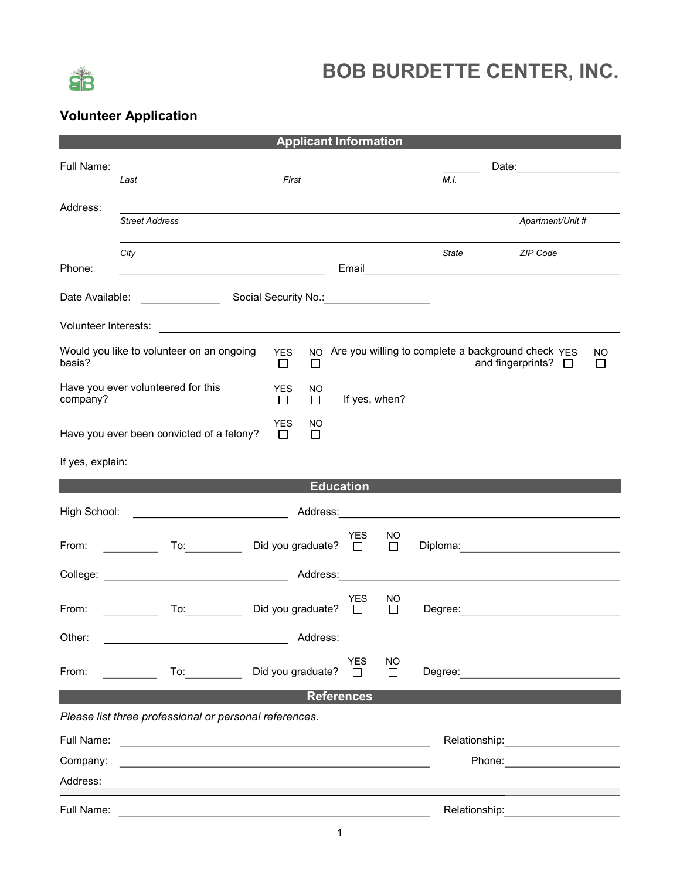

## BOB BURDETTE CENTER, INC.

## Volunteer Application

| <b>Applicant Information</b>                                                       |                                                                                                                       |                                       |                      |              |       |                                                                                                                                                                                                                                |                     |  |
|------------------------------------------------------------------------------------|-----------------------------------------------------------------------------------------------------------------------|---------------------------------------|----------------------|--------------|-------|--------------------------------------------------------------------------------------------------------------------------------------------------------------------------------------------------------------------------------|---------------------|--|
| Full Name:                                                                         |                                                                                                                       |                                       |                      |              |       |                                                                                                                                                                                                                                |                     |  |
|                                                                                    | Last                                                                                                                  | First                                 |                      |              | M.I.  |                                                                                                                                                                                                                                |                     |  |
| Address:                                                                           | <b>Street Address</b>                                                                                                 |                                       |                      |              |       | Apartment/Unit #                                                                                                                                                                                                               |                     |  |
|                                                                                    | City                                                                                                                  |                                       |                      |              | State | <b>ZIP Code</b>                                                                                                                                                                                                                |                     |  |
| Phone:                                                                             |                                                                                                                       |                                       |                      |              |       |                                                                                                                                                                                                                                |                     |  |
|                                                                                    | Date Available: <u>Contract and Social Security No.:</u>                                                              |                                       |                      |              |       |                                                                                                                                                                                                                                |                     |  |
|                                                                                    |                                                                                                                       |                                       |                      |              |       |                                                                                                                                                                                                                                |                     |  |
| basis?                                                                             | Would you like to volunteer on an ongoing                                                                             | <b>YES</b><br>NO.<br>$\Box$<br>$\Box$ |                      |              |       | Are you willing to complete a background check YES<br>and fingerprints? $\Box$                                                                                                                                                 | NO.<br>$\mathbf{L}$ |  |
| company?                                                                           | Have you ever volunteered for this                                                                                    | <b>YES</b><br>NO.<br>$\Box$<br>□      |                      |              |       |                                                                                                                                                                                                                                |                     |  |
| <b>YES</b><br>NO.<br>Have you ever been convicted of a felony?<br>$\Box$<br>$\Box$ |                                                                                                                       |                                       |                      |              |       |                                                                                                                                                                                                                                |                     |  |
|                                                                                    |                                                                                                                       |                                       |                      |              |       |                                                                                                                                                                                                                                |                     |  |
| <b>Education</b>                                                                   |                                                                                                                       |                                       |                      |              |       |                                                                                                                                                                                                                                |                     |  |
| High School:                                                                       | <u> 1980 - Antonio Alemania, prima postala provincia (n. 1918)</u>                                                    |                                       | Address: _________   |              |       | the control of the control of the control of the control of the control of the control of                                                                                                                                      |                     |  |
| From: $\qquad \qquad \qquad$                                                       | $\overline{a}$ To: $\overline{a}$                                                                                     | Did you graduate? □                   | YES                  | NO<br>$\Box$ |       |                                                                                                                                                                                                                                |                     |  |
|                                                                                    | College: <u>College:</u> Address:                                                                                     |                                       |                      |              |       | <u> 1980 - Johann Barn, mars an t-Amerikaansk politiker (</u>                                                                                                                                                                  |                     |  |
| From:                                                                              | $\mathsf{To:}\qquad\qquad\qquad\qquad\qquad$                                                                          | Did you graduate?                     | YES<br>$\Box$        | NO<br>$\Box$ |       |                                                                                                                                                                                                                                |                     |  |
| Other:                                                                             |                                                                                                                       | Address:                              |                      |              |       |                                                                                                                                                                                                                                |                     |  |
| From:                                                                              | $\overline{a}$                                                                                                        | Did you graduate?                     | <b>YES</b><br>$\Box$ | NO<br>$\Box$ |       | Degree: Degree:                                                                                                                                                                                                                |                     |  |
| <b>References</b>                                                                  |                                                                                                                       |                                       |                      |              |       |                                                                                                                                                                                                                                |                     |  |
| Please list three professional or personal references.                             |                                                                                                                       |                                       |                      |              |       |                                                                                                                                                                                                                                |                     |  |
| Full Name:                                                                         | <u> 1989 - Andrea Station Barbara, amerikan personal (h. 1989).</u>                                                   |                                       |                      |              |       | Relationship: 2000                                                                                                                                                                                                             |                     |  |
| Company:                                                                           | <u> 1980 - Andrea Station Barbara, actor a component de la componentación de la componentación de la componentaci</u> |                                       |                      |              |       | Phone: <u>__________________</u>                                                                                                                                                                                               |                     |  |
| Address:                                                                           |                                                                                                                       |                                       |                      |              |       |                                                                                                                                                                                                                                |                     |  |
|                                                                                    |                                                                                                                       |                                       |                      |              |       | Relationship: Website and Contract and Contract and Contract and Contract and Contract and Contract and Contract and Contract and Contract and Contract and Contract and Contract and Contract and Contract and Contract and C |                     |  |